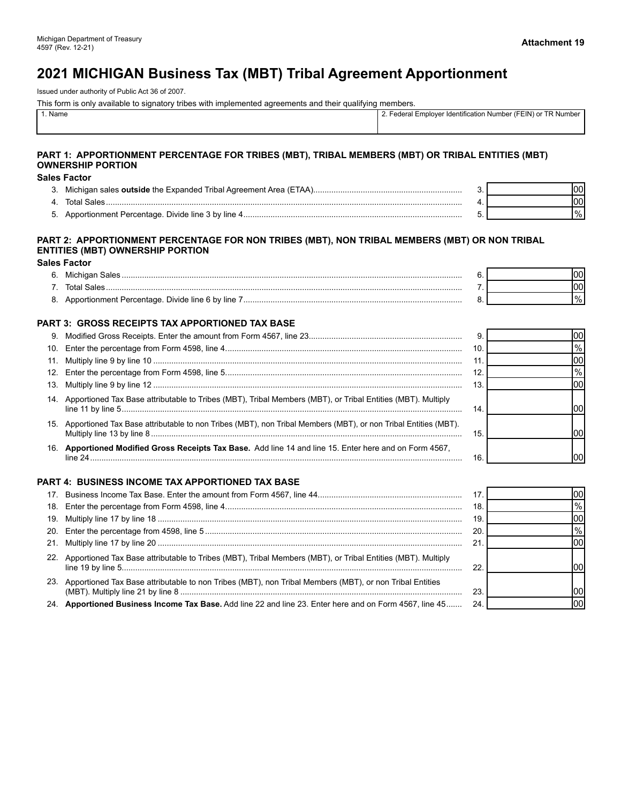# **2021 MICHIGAN Business Tax (MBT) Tribal Agreement Apportionment**

Issued under authority of Public Act 36 of 2007.

This form is only available to signatory tribes with implemented agreements and their qualifying members.

| Name |  | <sup>ㅜ</sup> P Number .<br>r (FEIN) or<br>-odorol<br>Employer Identification Number<br>cucial |
|------|--|-----------------------------------------------------------------------------------------------|
|      |  |                                                                                               |

#### **PART 1: APPORTIONMENT PERCENTAGE FOR TRIBES (MBT), TRIBAL MEMBERS (MBT) OR TRIBAL ENTITIES (MBT) OWNERSHIP PORTION**

#### **Sales Factor**

| 3.       | Michigan sales <b>outside</b> the Expanded Tribal Agreement Area (ETAA) |  |
|----------|-------------------------------------------------------------------------|--|
| 4        | فقاحك                                                                   |  |
| <u>_</u> | dionment Percentage. Divide line 3 by line.                             |  |

#### **PART 2: APPORTIONMENT PERCENTAGE FOR NON TRIBES (MBT), NON TRIBAL MEMBERS (MBT) OR NON TRIBAL ENTITIES (MBT) OWNERSHIP PORTION**

#### **Sales Factor**

| h |  |    |
|---|--|----|
|   |  |    |
|   |  | 70 |

#### **PART 3: GROSS RECEIPTS TAX APPORTIONED TAX BASE**

|     |                                                                                                                    | 9.  | m    |
|-----|--------------------------------------------------------------------------------------------------------------------|-----|------|
|     |                                                                                                                    | 10. | $\%$ |
|     |                                                                                                                    |     |      |
|     |                                                                                                                    |     |      |
|     |                                                                                                                    |     |      |
|     | 14. Apportioned Tax Base attributable to Tribes (MBT), Tribal Members (MBT), or Tribal Entities (MBT). Multiply    | 14  |      |
|     | 15. Apportioned Tax Base attributable to non Tribes (MBT), non Tribal Members (MBT), or non Tribal Entities (MBT). | 15. |      |
| 16. | Apportioned Modified Gross Receipts Tax Base. Add line 14 and line 15. Enter here and on Form 4567,                | 16  |      |

#### **PART 4: BUSINESS INCOME TAX APPORTIONED TAX BASE**

|                                                                                                                 | 17. | l00l |
|-----------------------------------------------------------------------------------------------------------------|-----|------|
|                                                                                                                 | 18  | $\%$ |
|                                                                                                                 | 19  | 100  |
|                                                                                                                 | 20  | $\%$ |
|                                                                                                                 | 21  | 100  |
| 22. Apportioned Tax Base attributable to Tribes (MBT), Tribal Members (MBT), or Tribal Entities (MBT). Multiply | 22  |      |
| 23. Apportioned Tax Base attributable to non Tribes (MBT), non Tribal Members (MBT), or non Tribal Entities     | 23. |      |
| 24. Apportioned Business Income Tax Base. Add line 22 and line 23. Enter here and on Form 4567, line 45         | 24  | 100  |

# %